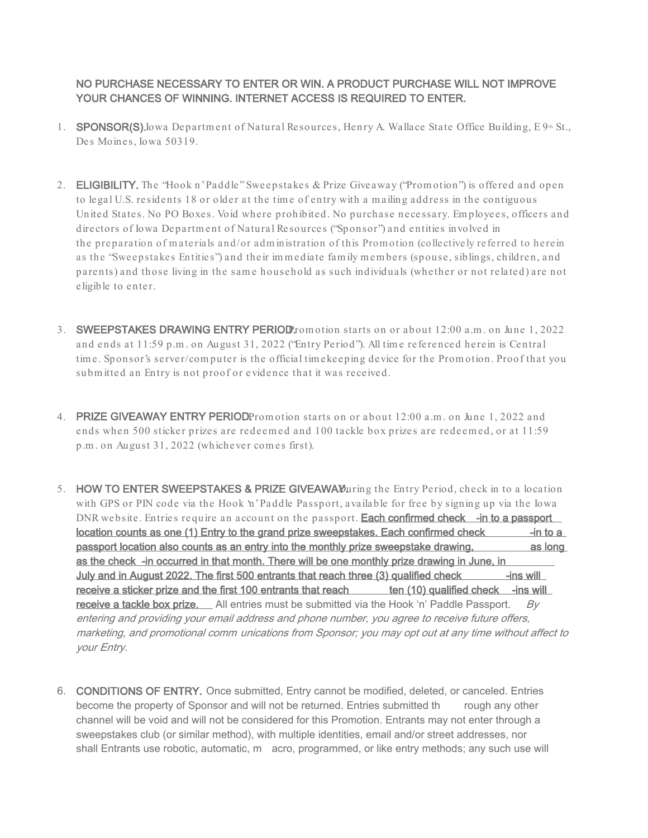NO PURCHASE NECESSARY TO ENTER OR WIN. A PRODUCT PURCHASE WILL NOT IMPROVE YOUR CHANCES OF WINNING. INTERNET ACCESS IS REQUIRED TO ENTER.

- 1. SPONSOR(S). Iowa Department of Natural Resources, Henry A. Wallace State Office Building, E 9<sup>th</sup> St., Des Moines, Iowa 50319.
- 2. **ELIGIBILITY.** The "Hook n' Paddle" Sweepstakes & Prize Giveaway ("Promotion") is offered and open to legal U.S. residents 18 or older at the tim e of entry with a m ailing address in the contiguous United States. No PO Boxes. Void where prohibited. No purchase necessary. Em ployees, officers and directors of Iowa Departm ent of Natural Resources ("Sponsor") and entities involved in the preparation of m aterials and/or adm inistration of this Prom otion (collectively referred to herein as the "Sweepstakes Entities") and their im m ediate fam ily m em bers (spouse, siblings, children, and parents) and those living in the same household as such individuals (whether or not related) are not eligible to enter.
- 3. SWEEPSTAKES DRAWING ENTRY PERIOD romotion starts on or about 12:00 a.m. on June 1, 2022 and ends at 11:59 p.m . on August 31, 2022 ("Entry Period"). All tim e referenced herein is Central tim e. Sponsor's server/com puter is the official tim ekeeping device for the Prom otion. Proof that you subm itted an Entry is not proof or evidence that it was received.
- 4. PRIZE GIVEAWAY ENTRY PERIODPromotion starts on or about 12:00 a.m. on June 1, 2022 and ends when 500 sticker prizes are redeem ed and 100 tackle box prizes are redeem ed, or at 11:59 p.m . on August 31, 2022 (whichever com es first).
- 5. HOW TO ENTER SWEEPSTAKES & PRIZE GIVEAWAWuring the Entry Period, check in to a location with GPS or PIN code via the Hook 'n' Paddle Passport, available for free by signing up via the Iowa DNR website. Entries require an account on the passport. Each confirmed check -in to a passport location counts as one (1) Entry to the grand prize sweepstakes. Each confirmed check -in to a passport location also counts as an entry into the monthly prize sweepstake drawing, as long as the check -in occurred in that month. There will be one monthly prize drawing in June, in July and in August 2022. The first 500 entrants that reach three (3) qualified check -- ins will receive a sticker prize and the first 100 entrants that reach ten (10) qualified check -ins will receive a tackle box prize.  $\Box$  All entries must be submitted via the Hook 'n' Paddle Passport. *By* entering and providing your email address and phone number, you agree to receive future offers, marketing, and promotional comm unications from Sponsor; you may opt out at any time without affect to your Entry.
- 6. CONDITIONS OF ENTRY. Once submitted, Entry cannot be modified, deleted, or canceled. Entries become the property of Sponsor and will not be returned. Entries submitted the rough any other channel will be void and will not be considered for this Promotion. Entrants may not enter through a sweepstakes club (or similar method), with multiple identities, email and/or street addresses, nor shall Entrants use robotic, automatic, m acro, programmed, or like entry methods; any such use will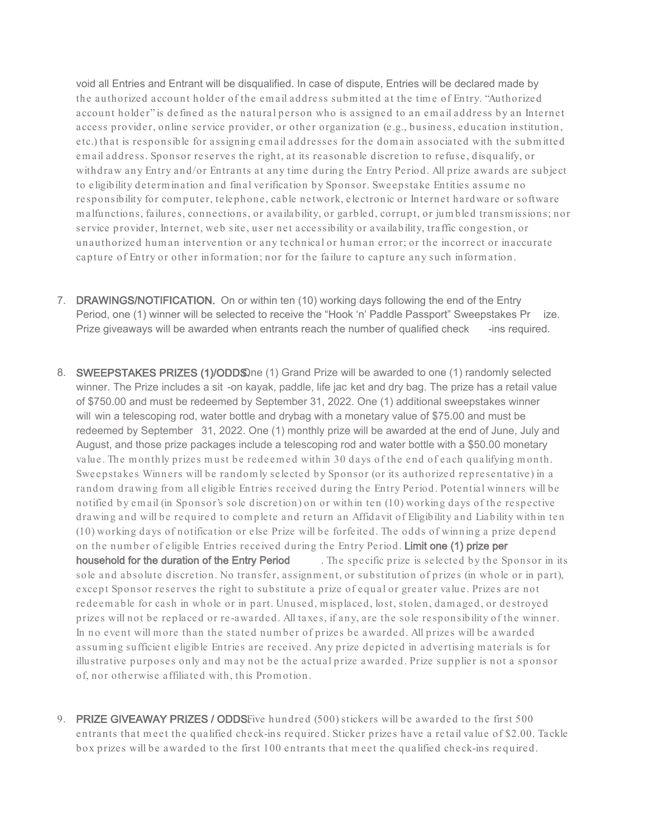void all Entries and Entrant will be disqualified. In case of dispute, Entries will be declared made by the authorized account holder of the em ail address subm itted at the tim e of Entry. "Authorized account holder" is defined as the natural person who is assigned to an em ail address by an Internet access provider, online service provider, or other organization (e.g., business, education institution, etc.) that is responsible for assigning em ail addresses for the dom ain associated with the subm itted em ail address. Sponsor reserves the right, at its reasonable discretion to refuse, disqualify, or withdraw any Entry and/or Entrants at any time during the Entry Period. All prize awards are subject to eligibility determ ination and final verification by Sponsor. Sweepstake Entities assum e no responsibility for com puter, telephone, cable network, electronic or Internet hardware or software m alfunctions, failures, connections, or availability, or garbled, corrupt, or jum bled transm issions; nor service provider, Internet, web site, user net accessibility or availability, traffic congestion, or unauthorized hum an intervention or any technical or hum an error; or the incorrect or inaccurate capture of Entry or other inform ation; nor for the failure to capture any such inform ation.

- 7. DRAWINGS/NOTIFICATION. On or within ten (10) working days following the end of the Entry Period, one (1) winner will be selected to receive the "Hook 'n' Paddle Passport" Sweepstakes Pr ize. Prize giveaways will be awarded when entrants reach the number of qualified check -ins required.
- 8. SWEEPSTAKES PRIZES (1)/ODDS. (1) Grand Prize will be awarded to one (1) randomly selected winner. The Prize includes a sit -on kayak, paddle, life jac ket and dry bag. The prize has a retail value of \$750.00 and must be redeemed by September 31, 2022. One (1) additional sweepstakes winner will win a telescoping rod, water bottle and drybag with a monetary value of \$75.00 and must be redeemed by September 31, 2022. One (1) monthly prize will be awarded at the end of June, July and August, and those prize packages include a telescoping rod and water bottle with a \$50.00 monetary value. The monthly prizes must be redeemed within 30 days of the end of each qualifying month. Sweepstakes Winners will be random ly selected by Sponsor (or its authorized representative) in a random drawing from all eligible Entries received during the Entry Period. Potential winners will be notified by em ail (in Sponsor's sole discretion) on or within ten (10) working days of the respective drawing and will be required to com plete and return an Affidavit of Eligibility and Liability within ten (10) working days of notification or else Prize will be forfeited. The odds of winning a prize depend on the num ber of eligible Entries received during the Entry Period. Limit one (1) prize per household for the duration of the Entry Period . The specific prize is selected by the Sponsor in its sole and absolute discretion. No transfer, assignm ent, or substitution of prizes (in whole or in part), except Sponsor reserves the right to substitute a prize of equal or greater value. Prizes are not redeem able for cash in whole or in part. Unused, m isplaced, lost, stolen, dam aged, or destroyed prizes will not be replaced or re -awarded. All taxes, if any, are the sole responsibility of the winner. In no event will m ore than the stated num ber of prizes be awarded. All prizes will be awarded assum ing sufficient eligible Entries are received. Any prize depicted in advertising m aterials is for illustrative purposes only and may not be the actual prize awarded. Prize supplier is not a sponsor of, nor otherwise affiliated with, this Prom otion.
- 9. PRIZE GIVEAWAY PRIZES / ODDSFive hundred (500) stickers will be awarded to the first 500 entrants that m eet the qualified check-ins required. Sticker prizes have a retail value of \$2.00. Tackle box prizes will be awarded to the first 100 entrants that m eet the qualified check-ins required.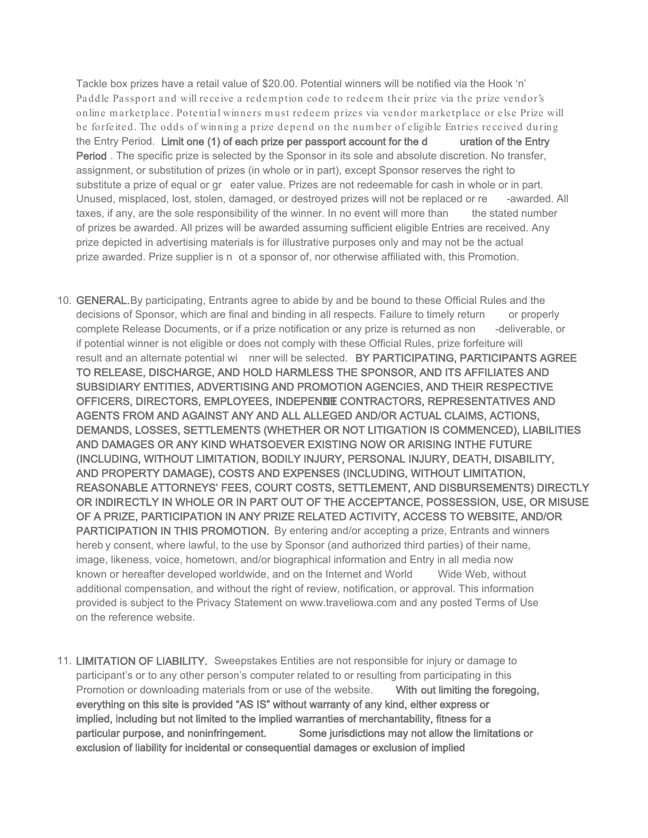Tackle box prizes have a retail value of \$20.00. Potential winners will be notified via the Hook 'n' Paddle Passport and will receive a redem ption code to redeem their prize via the prize vendor's online m arketplace . Potential winners m ust redeem prizes via vendor m arketplace or else Prize will be forfeited. The odds of winning a prize depend on the num ber of eligible Entries received during the Entry Period. Limit one (1) of each prize per passport account for the d uration of the Entry Period . The specific prize is selected by the Sponsor in its sole and absolute discretion. No transfer, assignment, or substitution of prizes (in whole or in part), except Sponsor reserves the right to substitute a prize of equal or gr eater value. Prizes are not redeemable for cash in whole or in part. Unused, misplaced, lost, stolen, damaged, or destroyed prizes will not be replaced or re -awarded. All taxes, if any, are the sole responsibility of the winner. In no event will more than the stated number of prizes be awarded. All prizes will be awarded assuming sufficient eligible Entries are received. Any prize depicted in advertising materials is for illustrative purposes only and may not be the actual prize awarded. Prize supplier is n ot a sponsor of, nor otherwise affiliated with, this Promotion.

- 10. **GENERAL.**By participating, Entrants agree to abide by and be bound to these Official Rules and the decisions of Sponsor, which are final and binding in all respects. Failure to timely return or properly complete Release Documents, or if a prize notification or any prize is returned as non -deliverable, or if potential winner is not eligible or does not comply with these Official Rules, prize forfeiture will result and an alternate potential wi nner will be selected. BY PARTICIPATING, PARTICIPANTS AGREE TO RELEASE, DISCHARGE, AND HOLD HARMLESS THE SPONSOR, AND ITS AFFILIATES AND SUBSIDIARY ENTITIES, ADVERTISING AND PROMOTION AGENCIES, AND THEIR RESPECTIVE OFFICERS, DIRECTORS, EMPLOYEES, INDEPENDE CONTRACTORS, REPRESENTATIVES AND AGENTS FROM AND AGAINST ANY AND ALL ALLEGED AND/OR ACTUAL CLAIMS, ACTIONS, DEMANDS, LOSSES, SETTLEMENTS (WHETHER OR NOT LITIGATION IS COMMENCED), LIABILITIES AND DAMAGES OR ANY KIND WHATSOEVER EXISTING NOW OR ARISING INTHE FUTURE (INCLUDING, WITHOUT LIMITATION, BODILY INJURY, PERSONAL INJURY, DEATH, DISABILITY, AND PROPERTY DAMAGE), COSTS AND EXPENSES (INCLUDING, WITHOUT LIMITATION, REASONABLE ATTORNEYS' FEES, COURT COSTS, SETTLEMENT, AND DISBURSEMENTS) DIRECTLY OR INDIRECTLY IN WHOLE OR IN PART OUT OF THE ACCEPTANCE, POSSESSION, USE, OR MISUSE OF A PRIZE, PARTICIPATION IN ANY PRIZE RELATED ACTIVITY, ACCESS TO WEBSITE, AND/OR PARTICIPATION IN THIS PROMOTION. By entering and/or accepting a prize, Entrants and winners hereb y consent, where lawful, to the use by Sponsor (and authorized third parties) of their name, image, likeness, voice, hometown, and/or biographical information and Entry in all media now known or hereafter developed worldwide, and on the Internet and World Wide Web, without additional compensation, and without the right of review, notification, or approval. This information provided is subject to the Privacy Statement on www.traveliowa.com and any posted Terms of Use on the reference website.
- 11. LIMITATION OF LIABILITY. Sweepstakes Entities are not responsible for injury or damage to participant's or to any other person's computer related to or resulting from participating in this Promotion or downloading materials from or use of the website. With out limiting the foregoing, everything on this site is provided "AS IS" without warranty of any kind, either express or implied, including but not limited to the implied warranties of merchantability, fitness for a particular purpose, and noninfringement. Some jurisdictions may not allow the limitations or exclusion of liability for incidental or consequential damages or exclusion of implied